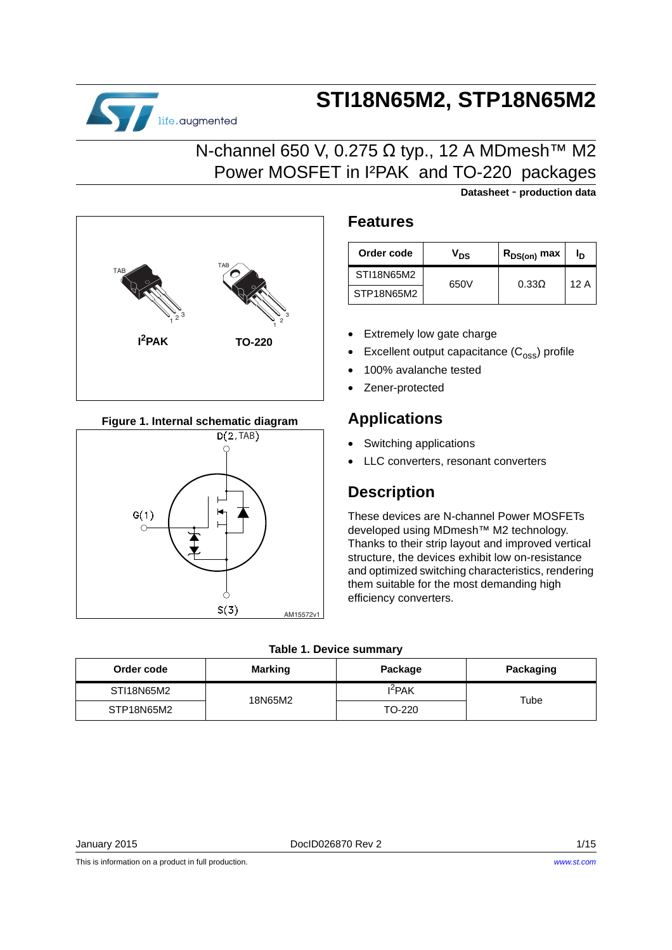# **STI18N65M2, STP18N65M2**

### N-channel 650 V, 0.275 Ω typ., 12 A MDmesh™ M2 Power MOSFET in I²PAK and TO-220 packages



life.augmented

#### **Figure 1. Internal schematic diagram**



### **Features**

| Order code | V <sub>DS</sub> | $\mathsf{R}_{\mathsf{DS}( \mathsf{on})}$ max |     |  |
|------------|-----------------|----------------------------------------------|-----|--|
| STI18N65M2 | 650V            | $0.33\Omega$                                 | 12A |  |
| STP18N65M2 |                 |                                              |     |  |

**Datasheet** - **production data**

- Extremely low gate charge
- Excellent output capacitance  $(C_{\text{oss}})$  profile
- 100% avalanche tested
- Zener-protected

### **Applications**

- Switching applications
- LLC converters, resonant converters

### **Description**

These devices are N-channel Power MOSFETs developed using MDmesh™ M2 technology. Thanks to their strip layout and improved vertical structure, the devices exhibit low on-resistance and optimized switching characteristics, rendering them suitable for the most demanding high efficiency converters.

| Order code | <b>Marking</b><br>Package |           | Packaging |
|------------|---------------------------|-----------|-----------|
| STI18N65M2 | 18N65M2                   | $I^2$ PAK | Tube      |
| STP18N65M2 |                           | TO-220    |           |

This is information on a product in full production.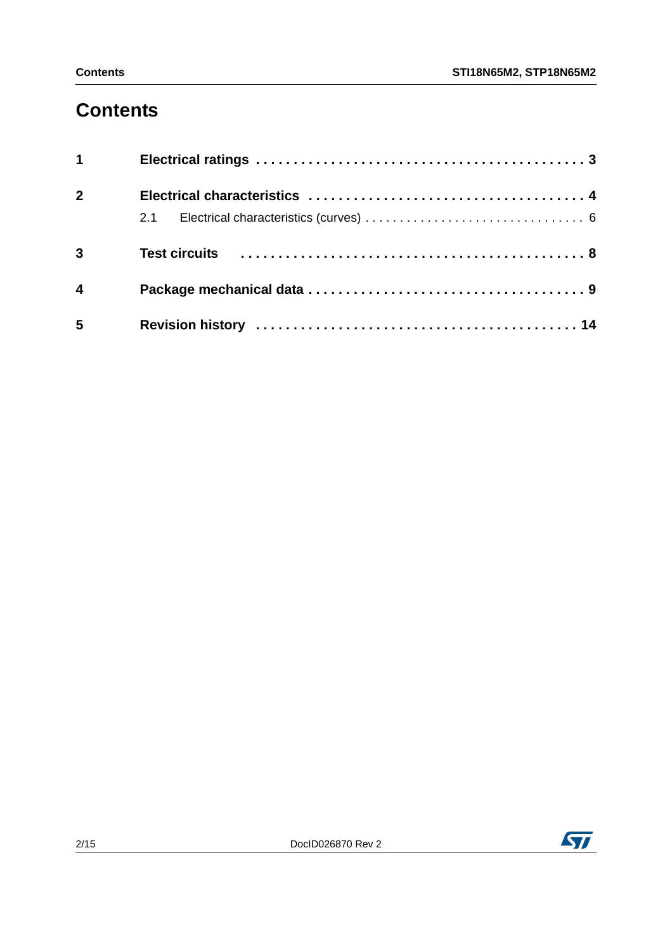### **Contents**

| $1 \quad \blacksquare$  |  |
|-------------------------|--|
| $\overline{2}$          |  |
|                         |  |
| $\overline{3}$          |  |
| $\overline{\mathbf{4}}$ |  |
| 5                       |  |

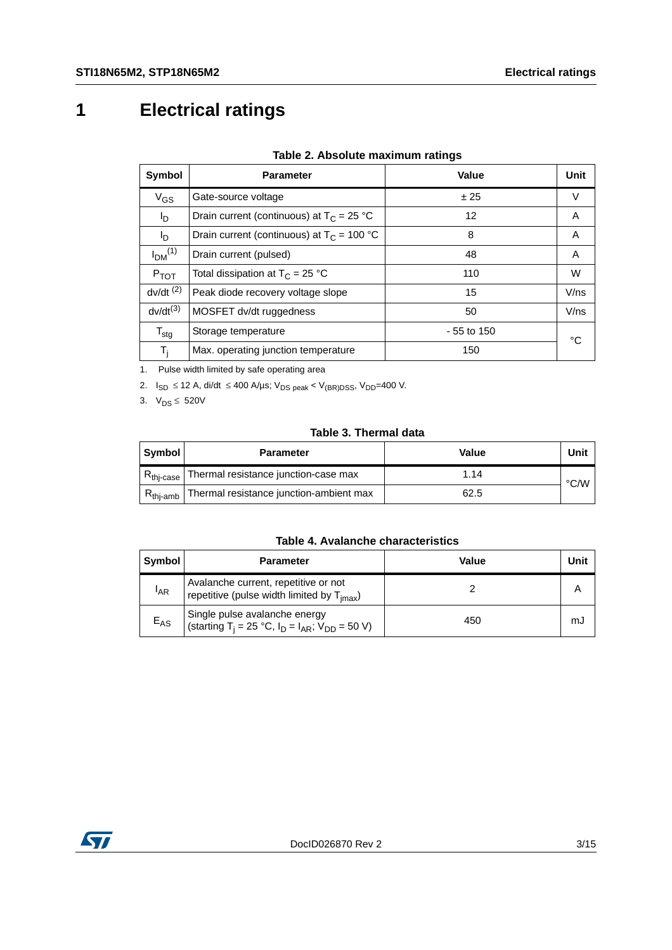# <span id="page-2-0"></span>**1 Electrical ratings**

| Symbol                         | <b>Parameter</b>                             | Value        | Unit |
|--------------------------------|----------------------------------------------|--------------|------|
| $V_{GS}$                       | Gate-source voltage                          | ± 25         | V    |
| l <sub>D</sub>                 | Drain current (continuous) at $T_c = 25 °C$  | 12           | A    |
| I <sub>D</sub>                 | Drain current (continuous) at $T_c = 100 °C$ | 8            | A    |
| I <sub>DM</sub> <sup>(1)</sup> | Drain current (pulsed)                       | 48           | A    |
| $P_{TOT}$                      | Total dissipation at $T_C = 25 °C$           | 110          | W    |
| $dv/dt$ <sup>(2)</sup>         | Peak diode recovery voltage slope            | 15           | V/ns |
| $dv/dt^{(3)}$                  | MOSFET dv/dt ruggedness                      | 50           | V/ns |
| $\mathsf{T}_{\text{stg}}$      | Storage temperature                          | $-55$ to 150 | °C   |
| T,                             | Max. operating junction temperature          | 150          |      |

#### **Table 2. Absolute maximum ratings**

1. Pulse width limited by safe operating area

2.  $I_{SD}$  ≤ 12 A, di/dt ≤ 400 A/µs; V<sub>DS peak</sub> < V<sub>(BR)DSS</sub>, V<sub>DD</sub>=400 V.

3.  $V_{DS} \le 520V$ 

#### **Table 3. Thermal data**

| $18005$ J. THEITHEI GALA |                                         |       |               |  |  |
|--------------------------|-----------------------------------------|-------|---------------|--|--|
| Symbol                   | <b>Parameter</b>                        | Value | Unit          |  |  |
| $R_{\text{thi-case}}$    | Thermal resistance junction-case max    | 1.14  | $\degree$ C/W |  |  |
| $R_{thi-amb}$            | Thermal resistance junction-ambient max | 62.5  |               |  |  |

#### **Table 4. Avalanche characteristics**

| Symbol          | <b>Parameter</b>                                                                                      | Value | Unit |
|-----------------|-------------------------------------------------------------------------------------------------------|-------|------|
| <sup>I</sup> AR | Avalanche current, repetitive or not<br>repetitive (pulse width limited by T <sub>imax</sub> )        |       |      |
| $E_{AS}$        | Single pulse avalanche energy<br>(starting T <sub>i</sub> = 25 °C, $I_D = I_{AR}$ ; $V_{DD} = 50 V$ ) | 450   | mJ   |

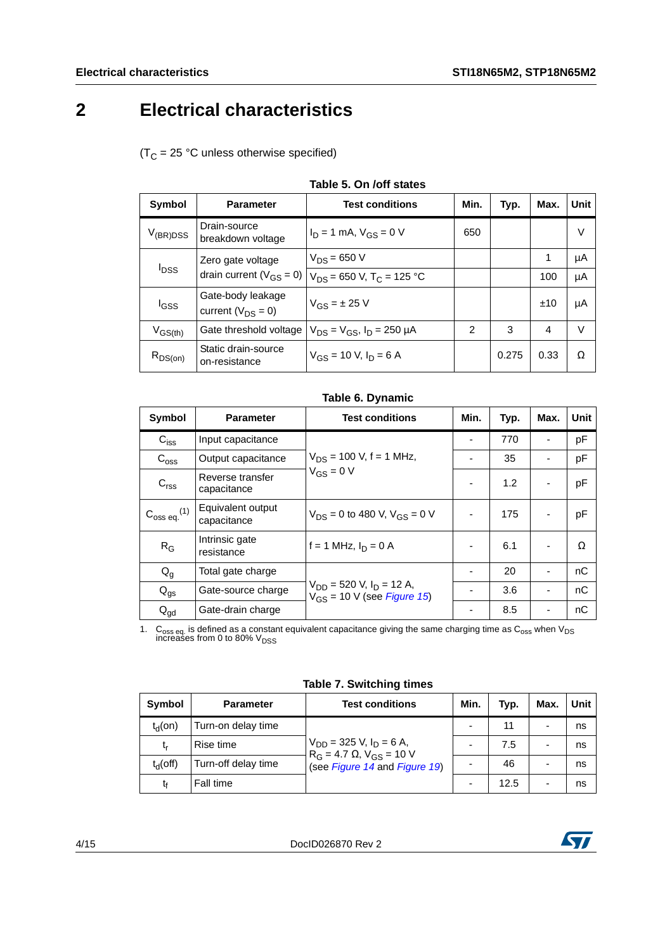### <span id="page-3-0"></span>**2 Electrical characteristics**

 $(T_C = 25 °C$  unless otherwise specified)

|                         | 1896 J. VII / VII SLALGS                            |                                           |                |       |      |      |
|-------------------------|-----------------------------------------------------|-------------------------------------------|----------------|-------|------|------|
| <b>Symbol</b>           | <b>Parameter</b>                                    | <b>Test conditions</b>                    | Min.           | Typ.  | Max. | Unit |
| $V_{(BR)DSS}$           | Drain-source<br>breakdown voltage                   | $I_D = 1$ mA, $V_{GS} = 0$ V              | 650            |       |      | V    |
| <b>I</b> <sub>DSS</sub> | Zero gate voltage<br>drain current ( $V_{GS} = 0$ ) | $V_{DS} = 650 V$                          |                |       | 1    | μA   |
|                         |                                                     | $V_{DS}$ = 650 V, T <sub>C</sub> = 125 °C |                |       | 100  | μA   |
| l <sub>GSS</sub>        | Gate-body leakage<br>current ( $V_{DS} = 0$ )       | $V_{GS} = \pm 25$ V                       |                |       | ±10  | μA   |
| $V_{GS(th)}$            | Gate threshold voltage                              | $V_{DS} = V_{GS}$ , $I_D = 250 \mu A$     | $\overline{2}$ | 3     | 4    | V    |
| $R_{DS(on)}$            | Static drain-source<br>on-resistance                | $V_{GS}$ = 10 V, $I_D$ = 6 A              |                | 0.275 | 0.33 | Ω    |

#### **Table 6. Dynamic**

| <b>Symbol</b>                | <b>Parameter</b>                 | <b>Test conditions</b>                                             | Min. | Typ. | Max. | <b>Unit</b> |
|------------------------------|----------------------------------|--------------------------------------------------------------------|------|------|------|-------------|
| $C_{\text{iss}}$             | Input capacitance                |                                                                    |      | 770  |      | pF          |
| $C_{\text{oss}}$             | Output capacitance               | $V_{DS}$ = 100 V, f = 1 MHz,                                       |      | 35   |      | pF          |
| C <sub>rss</sub>             | Reverse transfer<br>capacitance  | $V_{GS} = 0 V$                                                     |      | 1.2  |      | pF          |
| $C_{\rm oss\ eq.}^{\rm (1)}$ | Equivalent output<br>capacitance | $V_{DS} = 0$ to 480 V, $V_{GS} = 0$ V                              |      | 175  |      | pF          |
| $R_G$                        | Intrinsic gate<br>resistance     | f = 1 MHz, $I_D = 0$ A                                             |      | 6.1  |      | $\Omega$    |
| $Q_g$                        | Total gate charge                |                                                                    |      | 20   |      | nC          |
| $Q_{gs}$                     | Gate-source charge               | $V_{DD}$ = 520 V, $I_D$ = 12 A,<br>$V_{GS}$ = 10 V (see Figure 15) |      | 3.6  |      | nC          |
| $Q_{\text{gd}}$              | Gate-drain charge                |                                                                    |      | 8.5  |      | nC          |

1.  $\rm{C_{oss}}$  eq. is defined as a constant equivalent capacitance giving the same charging time as  $\rm{C_{oss}}$  when V<sub>DS</sub> increases from 0 to 80% V<sub>DSS</sub>

|  | <b>Table 7. Switching times</b> |  |
|--|---------------------------------|--|
|  |                                 |  |

| Symbol           | <b>Parameter</b>    | <b>Test conditions</b>                                                 | Min. | Typ. | Max.                     | Unit |
|------------------|---------------------|------------------------------------------------------------------------|------|------|--------------------------|------|
| $t_{\rm d}$ (on) | Turn-on delay time  | $V_{DD}$ = 325 V, $I_D$ = 6 A,<br>$R_G = 4.7 \Omega$ , $V_{GS} = 10 V$ |      | 11   | -                        | ns   |
| t,               | Rise time           |                                                                        |      | 7.5  | $\overline{\phantom{0}}$ | ns   |
| $t_d$ (off)      | Turn-off delay time | (see Figure 14 and Figure 19)                                          |      | 46   | ۰                        | ns   |
| t٠               | Fall time           |                                                                        |      | 12.5 |                          | ns   |

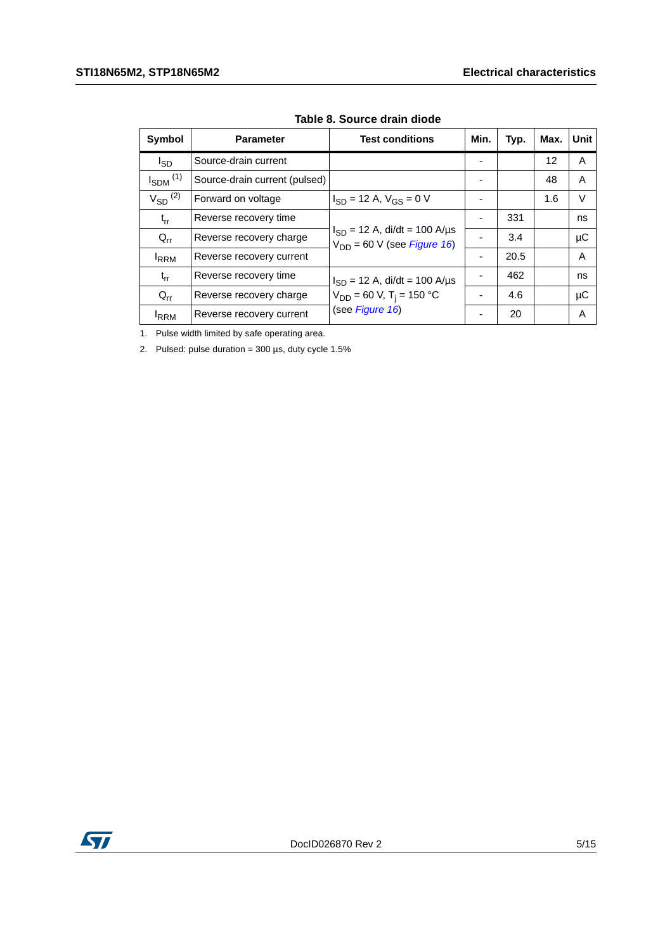| Symbol                   | <b>Parameter</b>              | <b>Test conditions</b>                                                        | Min.           | Typ. | Max. | Unit    |
|--------------------------|-------------------------------|-------------------------------------------------------------------------------|----------------|------|------|---------|
| l <sub>SD</sub>          | Source-drain current          |                                                                               |                |      | 12   | A       |
| $I_{SDM}$ <sup>(1)</sup> | Source-drain current (pulsed) |                                                                               |                |      | 48   | A       |
| $V_{SD}$ <sup>(2)</sup>  | Forward on voltage            | $I_{SD}$ = 12 A, $V_{GS}$ = 0 V                                               |                |      | 1.6  | V       |
| $t_{rr}$                 | Reverse recovery time         | $I_{SD}$ = 12 A, di/dt = 100 A/µs<br>$V_{DD}$ = 60 V (see <i>Figure 16</i> )  |                | 331  |      | ns      |
| $Q_{rr}$                 | Reverse recovery charge       |                                                                               |                | 3.4  |      | $\mu$ C |
| <b>IRRM</b>              | Reverse recovery current      |                                                                               | $\blacksquare$ | 20.5 |      | A       |
| $t_{rr}$                 | Reverse recovery time         | $I_{SD}$ = 12 A, di/dt = 100 A/µs<br>$V_{DD}$ = 60 V, T <sub>i</sub> = 150 °C |                | 462  |      | ns      |
| $Q_{rr}$                 | Reverse recovery charge       |                                                                               |                | 4.6  |      | $\mu$ C |
| <b>IRRM</b>              | Reverse recovery current      | (see Figure 16)                                                               |                | 20   |      | A       |

**Table 8. Source drain diode**

1. Pulse width limited by safe operating area.

2. Pulsed: pulse duration =  $300 \mu s$ , duty cycle  $1.5\%$ 

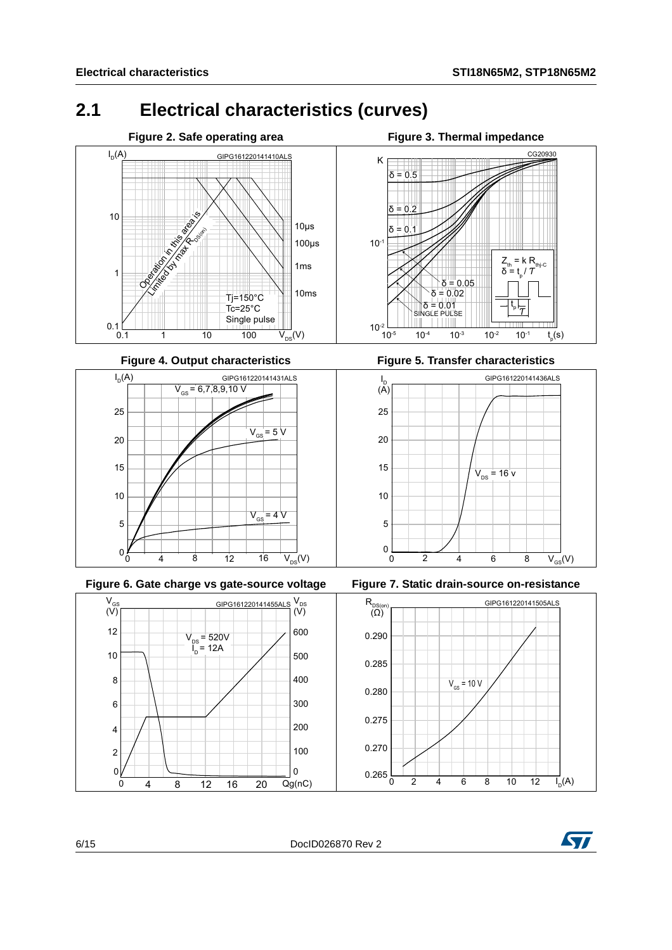$_{\rm p}({\rm s})$ 

### <span id="page-5-0"></span>**2.1 Electrical characteristics (curves)**





<span id="page-5-1"></span>



**Figure 4. Output characteristics Figure 5. Transfer characteristics**







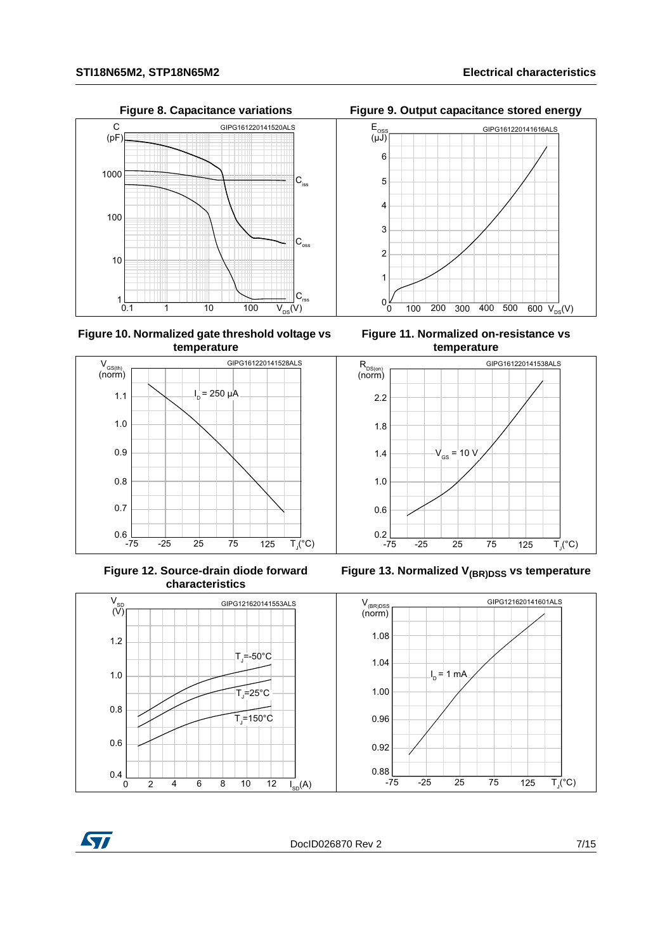

**Figure 10. Normalized gate threshold voltage vs temperature**



**Figure 12. Source-drain diode forward characteristics**



**Figure 8. Capacitance variations Figure 9. Output capacitance stored energy**







Figure 13. Normalized V<sub>(BR)DSS</sub> vs temperature



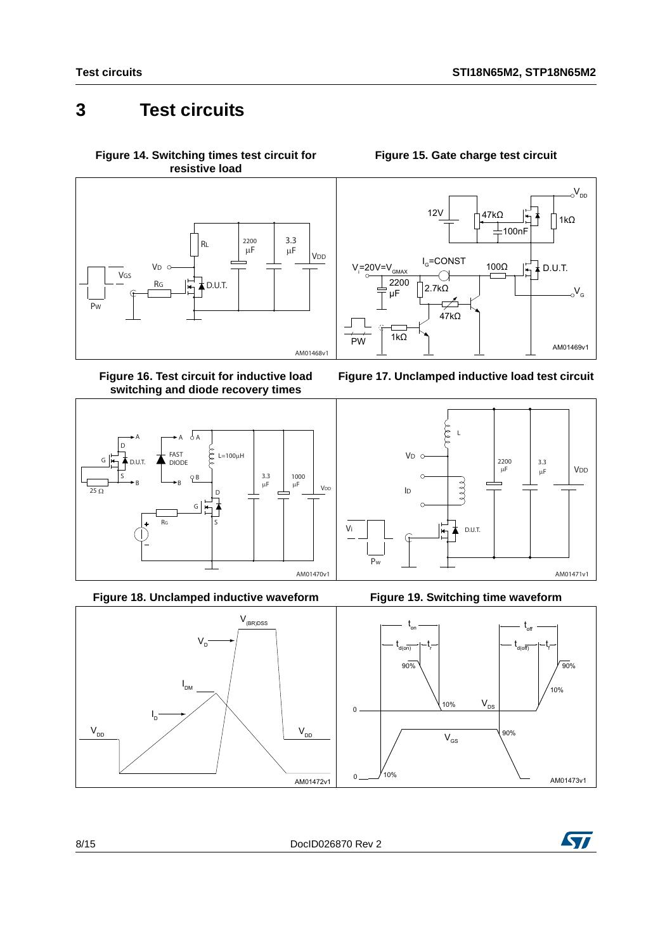### <span id="page-7-0"></span>**3 Test circuits**

<span id="page-7-2"></span>**Figure 14. Switching times test circuit for resistive load**



<span id="page-7-4"></span>**Figure 16. Test circuit for inductive load switching and diode recovery times**



**Figure 18. Unclamped inductive waveform Figure 19. Switching time waveform**



<span id="page-7-1"></span>









<span id="page-7-3"></span>

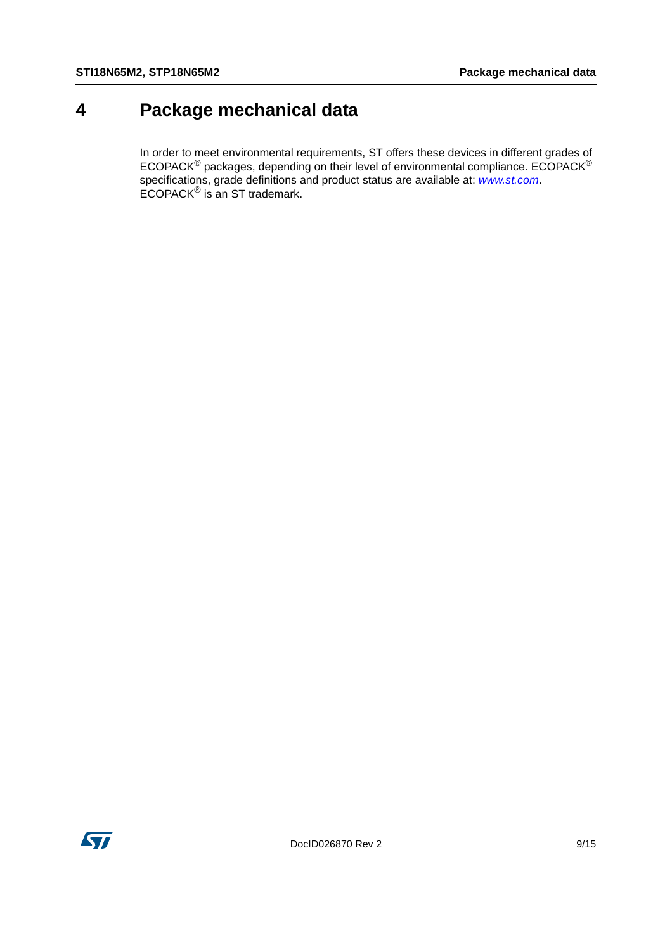### <span id="page-8-0"></span>**4 Package mechanical data**

In order to meet environmental requirements, ST offers these devices in different grades of ECOPACK $^{\circledR}$  packages, depending on their level of environmental compliance. ECOPACK $^{\circledR}$ specifications, grade definitions and product status are available at: *[www.st.com](http://www.st.com)*. ECOPACK® is an ST trademark.

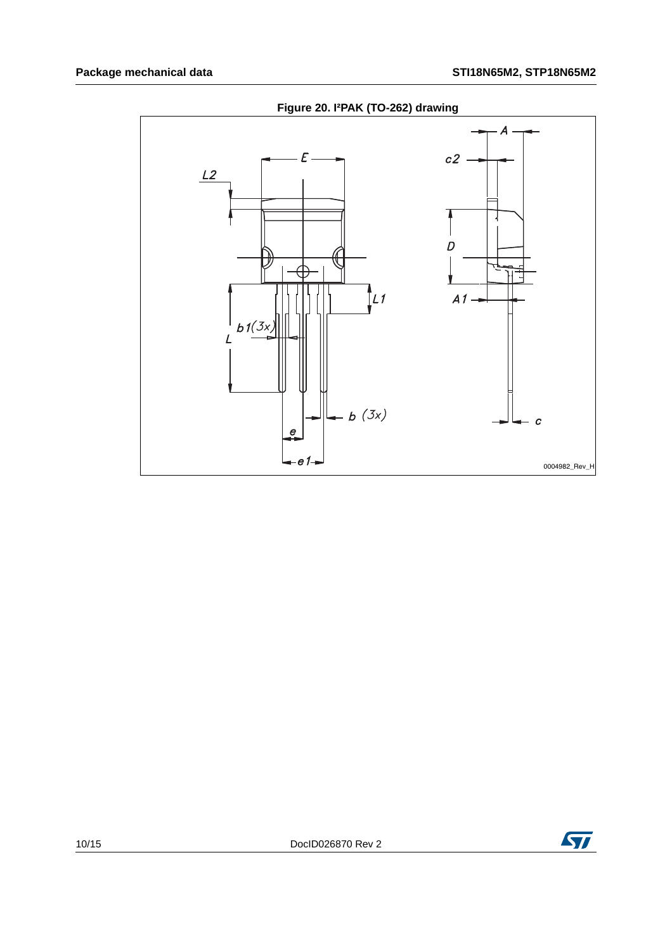

**Figure 20. I²PAK (TO-262) drawing**

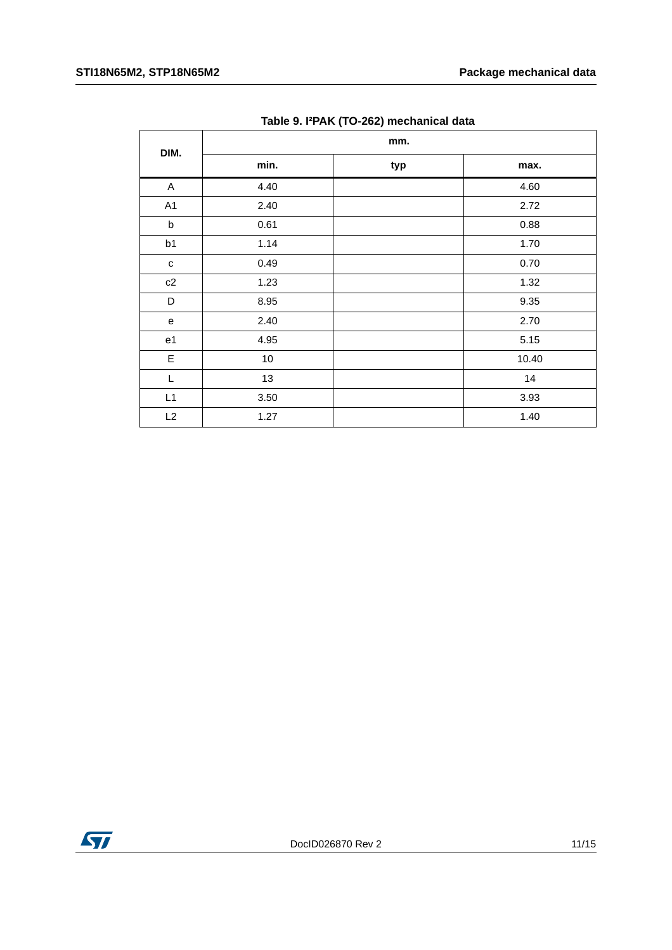| DIM.           | mm.  |     |       |  |  |
|----------------|------|-----|-------|--|--|
|                | min. | typ | max.  |  |  |
| $\mathsf A$    | 4.40 |     | 4.60  |  |  |
| A1             | 2.40 |     | 2.72  |  |  |
| $\sf b$        | 0.61 |     | 0.88  |  |  |
| b1             | 1.14 |     | 1.70  |  |  |
| $\mathtt{C}$   | 0.49 |     | 0.70  |  |  |
| c2             | 1.23 |     | 1.32  |  |  |
| D              | 8.95 |     | 9.35  |  |  |
| e              | 2.40 |     | 2.70  |  |  |
| e <sub>1</sub> | 4.95 |     | 5.15  |  |  |
| $\mathsf E$    | 10   |     | 10.40 |  |  |
| L              | 13   |     | 14    |  |  |
| L1             | 3.50 |     | 3.93  |  |  |
| L2             | 1.27 |     | 1.40  |  |  |

**Table 9. I²PAK (TO-262) mechanical data**

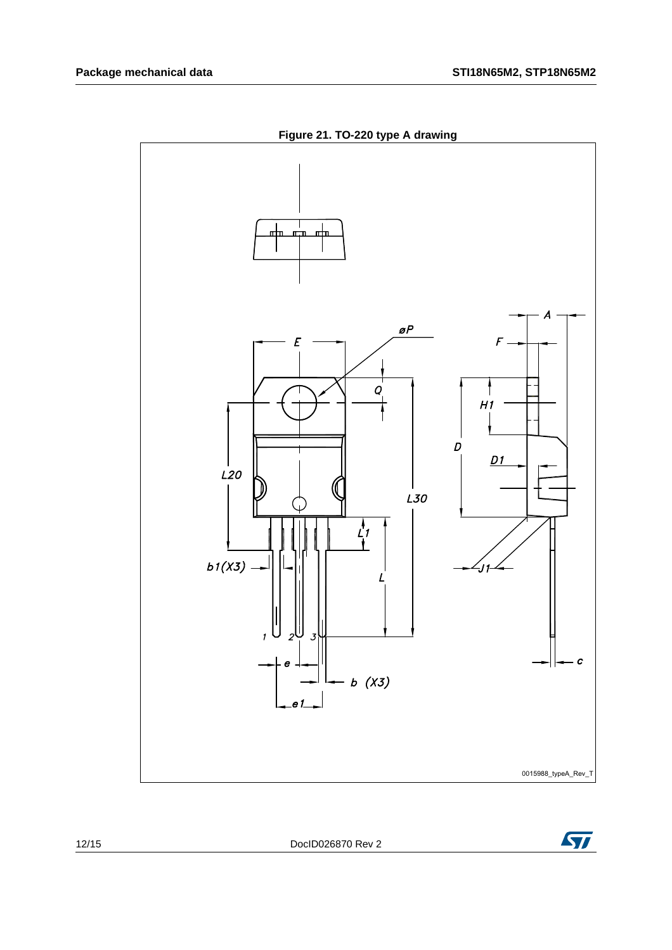

**Figure 21. TO-220 type A drawing**



12/15 DocID026870 Rev 2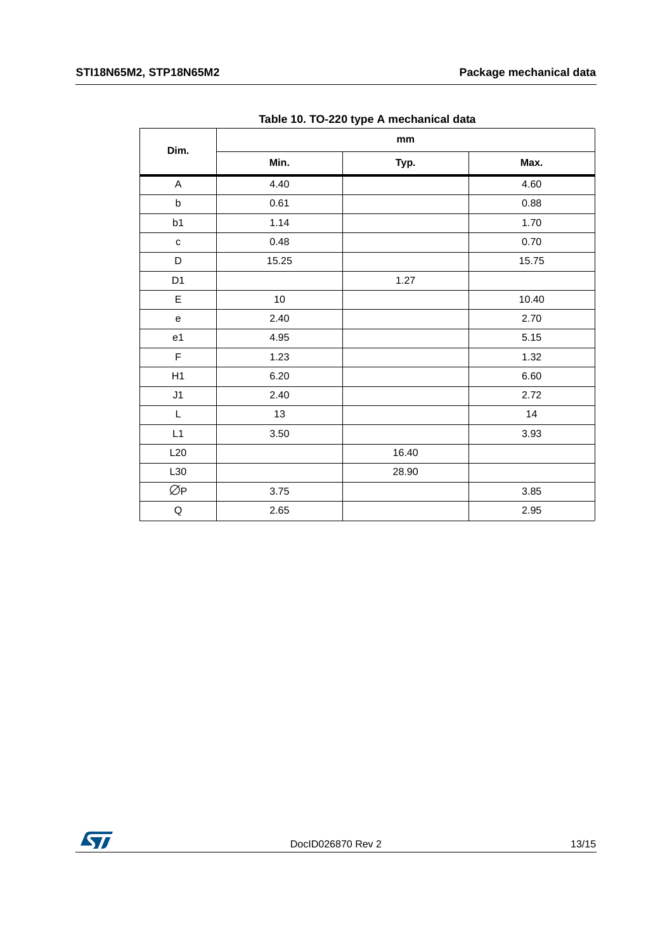|                                   | rabio 16: 10 EEU typo /t moonamoar aata<br>mm |       |       |  |  |
|-----------------------------------|-----------------------------------------------|-------|-------|--|--|
| Dim.                              | Min.                                          | Typ.  | Max.  |  |  |
| $\mathsf{A}$                      | 4.40                                          |       | 4.60  |  |  |
| $\sf b$                           | 0.61                                          |       | 0.88  |  |  |
| b1                                | 1.14                                          |       | 1.70  |  |  |
| $\mathtt{C}$                      | 0.48                                          |       | 0.70  |  |  |
| $\mathsf D$                       | 15.25                                         |       | 15.75 |  |  |
| D <sub>1</sub>                    |                                               | 1.27  |       |  |  |
| $\mathsf E$                       | $10\,$                                        |       | 10.40 |  |  |
| $\mathsf{e}% _{t}\left( t\right)$ | 2.40                                          |       | 2.70  |  |  |
| e <sub>1</sub>                    | 4.95                                          |       | 5.15  |  |  |
| $\mathsf F$                       | 1.23                                          |       | 1.32  |  |  |
| H1                                | 6.20                                          |       | 6.60  |  |  |
| J1                                | 2.40                                          |       | 2.72  |  |  |
| $\mathsf L$                       | 13                                            |       | 14    |  |  |
| L1                                | $3.50\,$                                      |       | 3.93  |  |  |
| L20                               |                                               | 16.40 |       |  |  |
| L30                               |                                               | 28.90 |       |  |  |
| ØP                                | 3.75                                          |       | 3.85  |  |  |
| $\sf Q$                           | 2.65                                          |       | 2.95  |  |  |

**Table 10. TO-220 type A mechanical data**

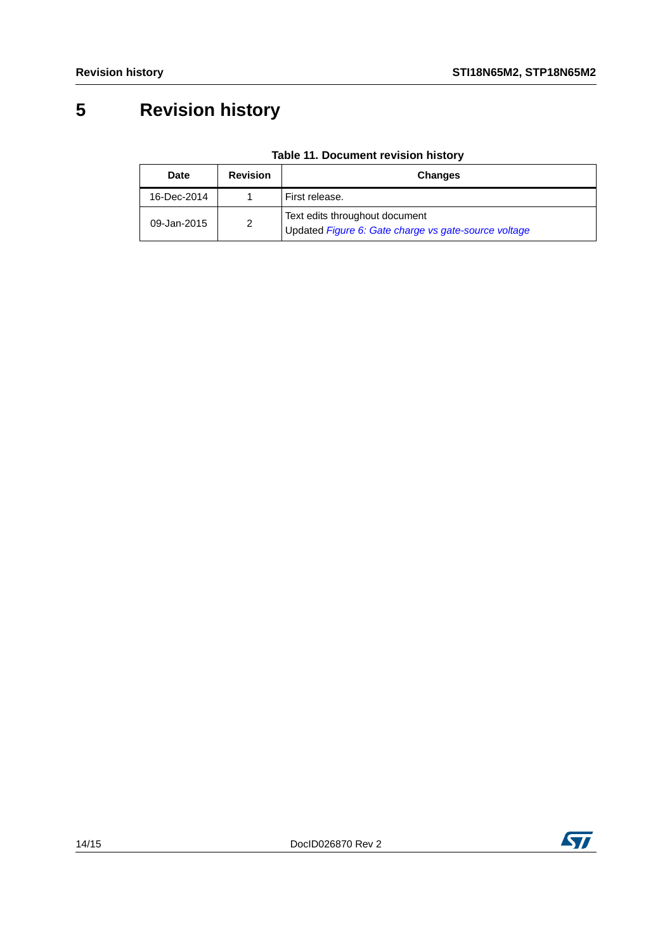## <span id="page-13-0"></span>**5 Revision history**

| <b>Date</b> | <b>Revision</b> | <b>Changes</b>                                                                         |
|-------------|-----------------|----------------------------------------------------------------------------------------|
| 16-Dec-2014 |                 | First release.                                                                         |
| 09-Jan-2015 | 2               | Text edits throughout document<br>Updated Figure 6: Gate charge vs gate-source voltage |

#### **Table 11. Document revision history**

ST